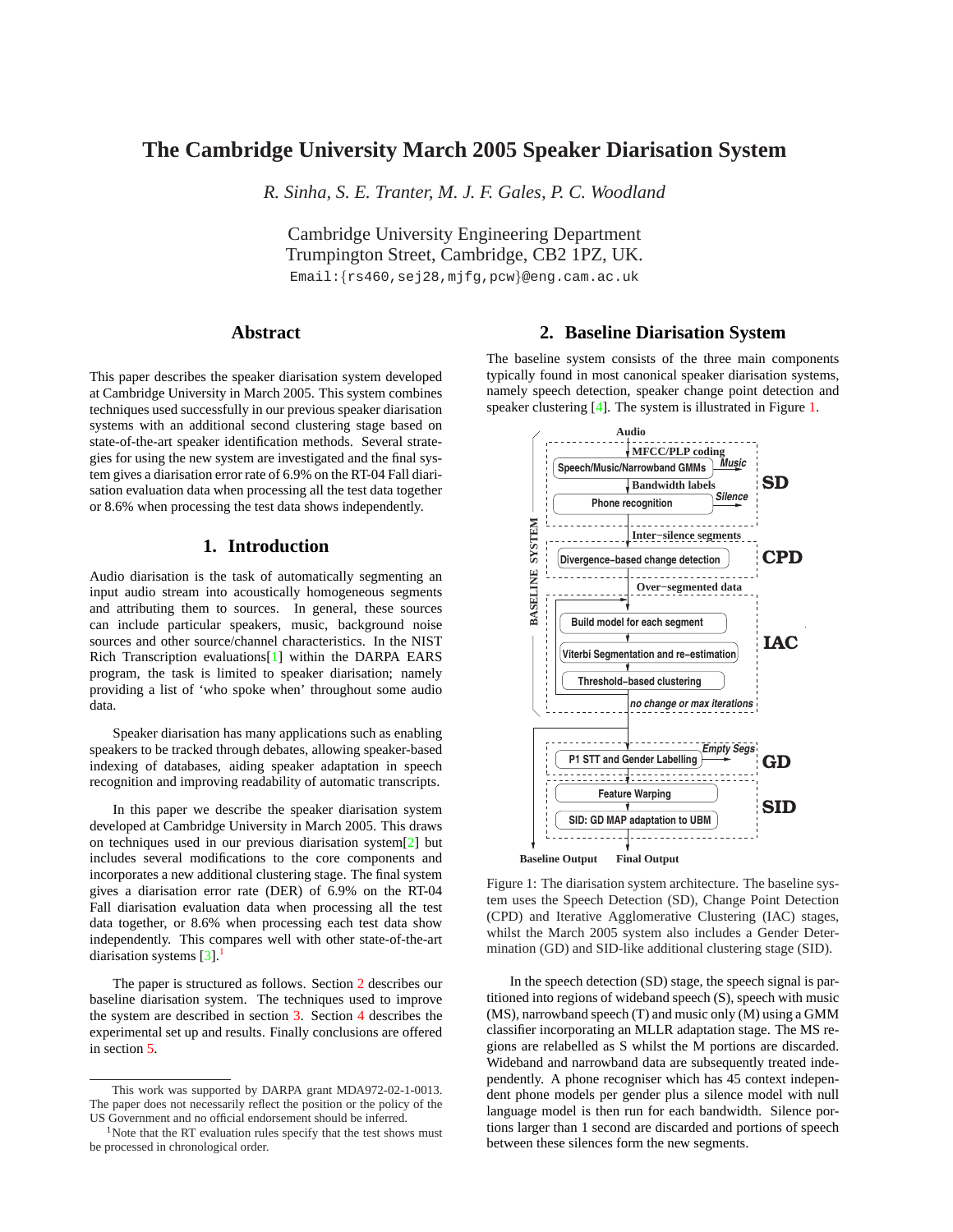# <span id="page-0-0"></span>**The Cambridge University March 2005 Speaker Diarisation System**

*R. Sinha, S. E. Tranter, M. J. F. Gales, P. C. Woodland*

Cambridge University Engineering Department Trumpington Street, Cambridge, CB2 1PZ, UK.

Email:{rs460,sej28,mjfg,pcw}@eng.cam.ac.uk

# **Abstract**

This paper describes the speaker diarisation system developed at Cambridge University in March 2005. This system combines techniques used successfully in our previous speaker diarisation systems with an additional second clustering stage based on state-of-the-art speaker identification methods. Several strategies for using the new system are investigated and the final system gives a diarisation error rate of 6.9% on the RT-04 Fall diarisation evaluation data when processing all the test data together or 8.6% when processing the test data shows independently.

# **1. Introduction**

Audio diarisation is the task of automatically segmenting an input audio stream into acoustically homogeneous segments and attributing them to sources. In general, these sources can include particular speakers, music, background noise sources and other source/channel characteristics. In the NIST Rich Transcription evaluations[\[1\]](#page-3-0) within the DARPA EARS program, the task is limited to speaker diarisation; namely providing a list of 'who spoke when' throughout some audio data.

Speaker diarisation has many applications such as enabling speakers to be tracked through debates, allowing speaker-based indexing of databases, aiding speaker adaptation in speech recognition and improving readability of automatic transcripts.

In this paper we describe the speaker diarisation system developed at Cambridge University in March 2005. This draws on techniques used in our previous diarisation system[\[2\]](#page-3-0) but includes several modifications to the core components and incorporates a new additional clustering stage. The final system gives a diarisation error rate (DER) of 6.9% on the RT-04 Fall diarisation evaluation data when processing all the test data together, or 8.6% when processing each test data show independently. This compares well with other state-of-the-art diarisation systems  $[3]$ <sup>1</sup>

The paper is structured as follows. Section 2 describes our baseline diarisation system. The techniques used to improve the system are described in section [3.](#page-1-0) Section [4](#page-2-0) describes the experimental set up and results. Finally conclusions are offered in section [5.](#page-3-0)

## **2. Baseline Diarisation System**

The baseline system consists of the three main components typically found in most canonical speaker diarisation systems, namely speech detection, speaker change point detection and speaker clustering [\[4\]](#page-3-0). The system is illustrated in Figure 1.



Figure 1: The diarisation system architecture. The baseline system uses the Speech Detection (SD), Change Point Detection (CPD) and Iterative Agglomerative Clustering (IAC) stages, whilst the March 2005 system also includes a Gender Determination (GD) and SID-like additional clustering stage (SID).

In the speech detection (SD) stage, the speech signal is partitioned into regions of wideband speech (S), speech with music (MS), narrowband speech (T) and music only (M) using a GMM classifier incorporating an MLLR adaptation stage. The MS regions are relabelled as S whilst the M portions are discarded. Wideband and narrowband data are subsequently treated independently. A phone recogniser which has 45 context independent phone models per gender plus a silence model with null language model is then run for each bandwidth. Silence portions larger than 1 second are discarded and portions of speech between these silences form the new segments.

This work was supported by DARPA grant MDA972-02-1-0013. The paper does not necessarily reflect the position or the policy of the US Government and no official endorsement should be inferred.

 $1$ Note that the RT evaluation rules specify that the test shows must be processed in chronological order.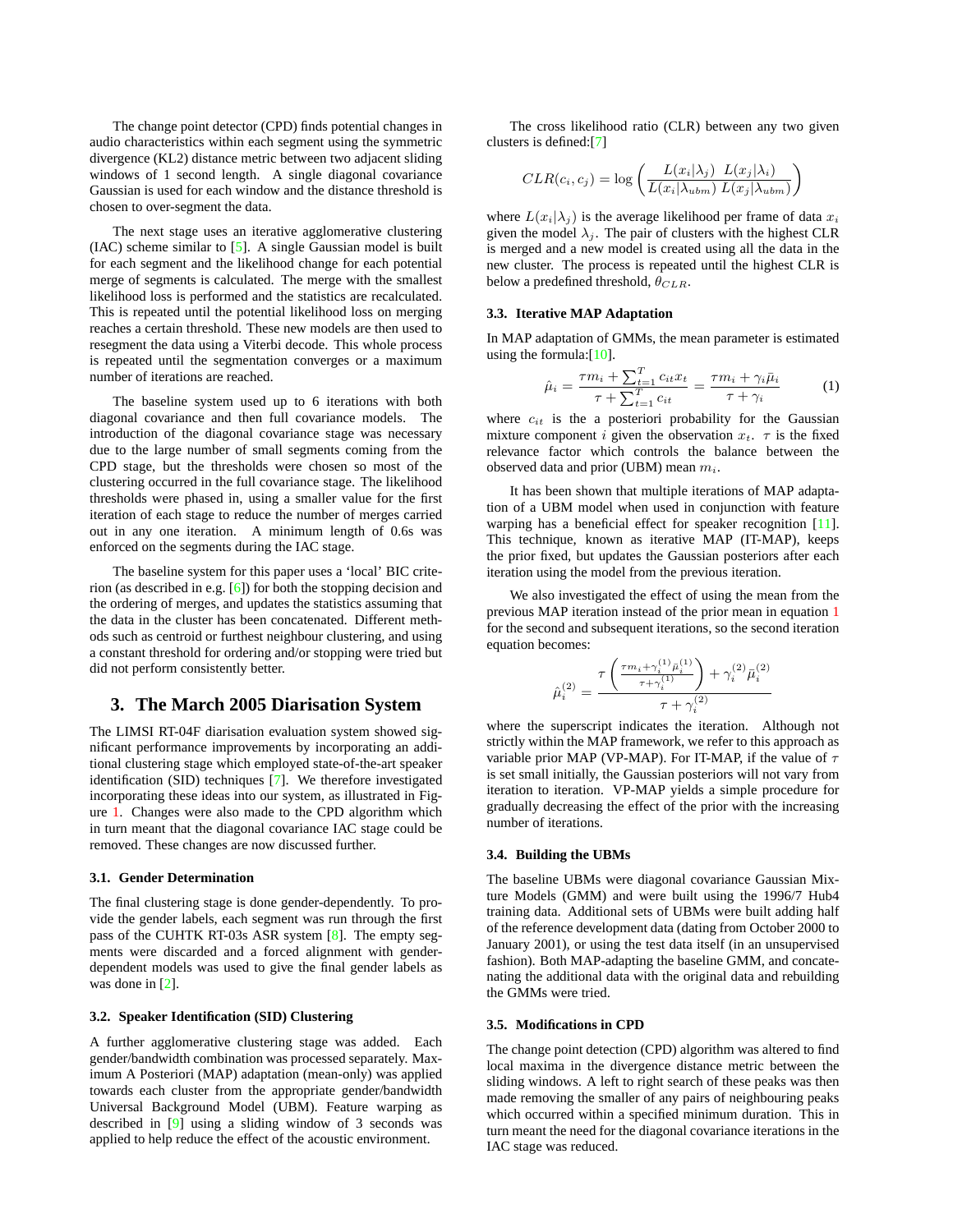<span id="page-1-0"></span>The change point detector (CPD) finds potential changes in audio characteristics within each segment using the symmetric divergence (KL2) distance metric between two adjacent sliding windows of 1 second length. A single diagonal covariance Gaussian is used for each window and the distance threshold is chosen to over-segment the data.

The next stage uses an iterative agglomerative clustering (IAC) scheme similar to [\[5\]](#page-3-0). A single Gaussian model is built for each segment and the likelihood change for each potential merge of segments is calculated. The merge with the smallest likelihood loss is performed and the statistics are recalculated. This is repeated until the potential likelihood loss on merging reaches a certain threshold. These new models are then used to resegment the data using a Viterbi decode. This whole process is repeated until the segmentation converges or a maximum number of iterations are reached.

The baseline system used up to 6 iterations with both diagonal covariance and then full covariance models. The introduction of the diagonal covariance stage was necessary due to the large number of small segments coming from the CPD stage, but the thresholds were chosen so most of the clustering occurred in the full covariance stage. The likelihood thresholds were phased in, using a smaller value for the first iteration of each stage to reduce the number of merges carried out in any one iteration. A minimum length of 0.6s was enforced on the segments during the IAC stage.

The baseline system for this paper uses a 'local' BIC criterion (as described in e.g. [\[6\]](#page-3-0)) for both the stopping decision and the ordering of merges, and updates the statistics assuming that the data in the cluster has been concatenated. Different methods such as centroid or furthest neighbour clustering, and using a constant threshold for ordering and/or stopping were tried but did not perform consistently better.

# **3. The March 2005 Diarisation System**

The LIMSI RT-04F diarisation evaluation system showed significant performance improvements by incorporating an additional clustering stage which employed state-of-the-art speaker identification (SID) techniques [\[7\]](#page-3-0). We therefore investigated incorporating these ideas into our system, as illustrated in Figure [1.](#page-0-0) Changes were also made to the CPD algorithm which in turn meant that the diagonal covariance IAC stage could be removed. These changes are now discussed further.

#### **3.1. Gender Determination**

The final clustering stage is done gender-dependently. To provide the gender labels, each segment was run through the first pass of the CUHTK RT-03s ASR system [\[8\]](#page-3-0). The empty segments were discarded and a forced alignment with genderdependent models was used to give the final gender labels as was done in [\[2\]](#page-3-0).

#### **3.2. Speaker Identification (SID) Clustering**

A further agglomerative clustering stage was added. Each gender/bandwidth combination was processed separately. Maximum A Posteriori (MAP) adaptation (mean-only) was applied towards each cluster from the appropriate gender/bandwidth Universal Background Model (UBM). Feature warping as described in [\[9\]](#page-3-0) using a sliding window of 3 seconds was applied to help reduce the effect of the acoustic environment.

The cross likelihood ratio (CLR) between any two given clusters is defined:[\[7\]](#page-3-0)

$$
CLR(c_i, c_j) = \log \left( \frac{L(x_i | \lambda_j) \ L(x_j | \lambda_i)}{L(x_i | \lambda_{ubm}) \ L(x_j | \lambda_{ubm})} \right)
$$

where  $L(x_i|\lambda_i)$  is the average likelihood per frame of data  $x_i$ given the model  $\lambda_i$ . The pair of clusters with the highest CLR is merged and a new model is created using all the data in the new cluster. The process is repeated until the highest CLR is below a predefined threshold,  $\theta_{CLR}$ .

#### **3.3. Iterative MAP Adaptation**

In MAP adaptation of GMMs, the mean parameter is estimated using the formula: $[10]$ .

$$
\hat{\mu}_i = \frac{\tau m_i + \sum_{t=1}^T c_{it} x_t}{\tau + \sum_{t=1}^T c_{it}} = \frac{\tau m_i + \gamma_i \bar{\mu}_i}{\tau + \gamma_i} \tag{1}
$$

where  $c_{it}$  is the a posteriori probability for the Gaussian mixture component i given the observation  $x_t$ .  $\tau$  is the fixed relevance factor which controls the balance between the observed data and prior (UBM) mean  $m_i$ .

It has been shown that multiple iterations of MAP adaptation of a UBM model when used in conjunction with feature warping has a beneficial effect for speaker recognition [\[11\]](#page-3-0). This technique, known as iterative MAP (IT-MAP), keeps the prior fixed, but updates the Gaussian posteriors after each iteration using the model from the previous iteration.

We also investigated the effect of using the mean from the previous MAP iteration instead of the prior mean in equation 1 for the second and subsequent iterations, so the second iteration equation becomes:

$$
\hat{\mu}_i^{(2)} = \frac{\tau \left( \frac{\tau m_i + \gamma_i^{(1)} \bar{\mu}_i^{(1)}}{\tau + \gamma_i^{(1)}} \right) + \gamma_i^{(2)} \bar{\mu}_i^{(2)}}{\tau + \gamma_i^{(2)}}
$$

where the superscript indicates the iteration. Although not strictly within the MAP framework, we refer to this approach as variable prior MAP (VP-MAP). For IT-MAP, if the value of  $\tau$ is set small initially, the Gaussian posteriors will not vary from iteration to iteration. VP-MAP yields a simple procedure for gradually decreasing the effect of the prior with the increasing number of iterations.

## **3.4. Building the UBMs**

The baseline UBMs were diagonal covariance Gaussian Mixture Models (GMM) and were built using the 1996/7 Hub4 training data. Additional sets of UBMs were built adding half of the reference development data (dating from October 2000 to January 2001), or using the test data itself (in an unsupervised fashion). Both MAP-adapting the baseline GMM, and concatenating the additional data with the original data and rebuilding the GMMs were tried.

## **3.5. Modifications in CPD**

The change point detection (CPD) algorithm was altered to find local maxima in the divergence distance metric between the sliding windows. A left to right search of these peaks was then made removing the smaller of any pairs of neighbouring peaks which occurred within a specified minimum duration. This in turn meant the need for the diagonal covariance iterations in the IAC stage was reduced.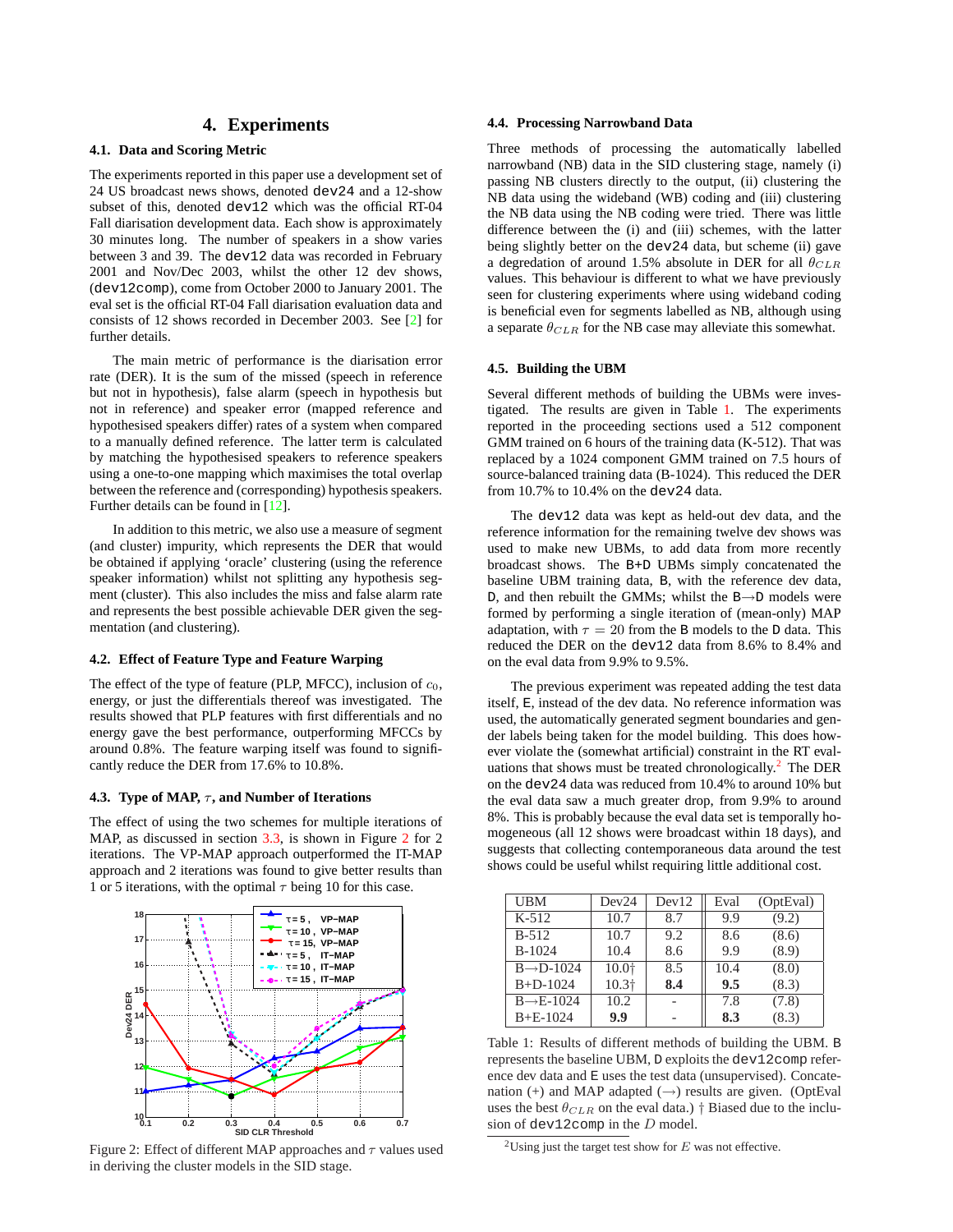# **4. Experiments**

## <span id="page-2-0"></span>**4.1. Data and Scoring Metric**

The experiments reported in this paper use a development set of 24 US broadcast news shows, denoted dev24 and a 12-show subset of this, denoted dev12 which was the official RT-04 Fall diarisation development data. Each show is approximately 30 minutes long. The number of speakers in a show varies between 3 and 39. The dev12 data was recorded in February 2001 and Nov/Dec 2003, whilst the other 12 dev shows, (dev12comp), come from October 2000 to January 2001. The eval set is the official RT-04 Fall diarisation evaluation data and consists of 12 shows recorded in December 2003. See [\[2\]](#page-3-0) for further details.

The main metric of performance is the diarisation error rate (DER). It is the sum of the missed (speech in reference but not in hypothesis), false alarm (speech in hypothesis but not in reference) and speaker error (mapped reference and hypothesised speakers differ) rates of a system when compared to a manually defined reference. The latter term is calculated by matching the hypothesised speakers to reference speakers using a one-to-one mapping which maximises the total overlap between the reference and (corresponding) hypothesis speakers. Further details can be found in [\[12\]](#page-3-0).

In addition to this metric, we also use a measure of segment (and cluster) impurity, which represents the DER that would be obtained if applying 'oracle' clustering (using the reference speaker information) whilst not splitting any hypothesis segment (cluster). This also includes the miss and false alarm rate and represents the best possible achievable DER given the segmentation (and clustering).

#### **4.2. Effect of Feature Type and Feature Warping**

The effect of the type of feature (PLP, MFCC), inclusion of  $c_0$ , energy, or just the differentials thereof was investigated. The results showed that PLP features with first differentials and no energy gave the best performance, outperforming MFCCs by around 0.8%. The feature warping itself was found to significantly reduce the DER from 17.6% to 10.8%.

#### **4.3. Type of MAP,**  $\tau$ **, and Number of Iterations**

The effect of using the two schemes for multiple iterations of MAP, as discussed in section [3.3,](#page-1-0) is shown in Figure 2 for 2 iterations. The VP-MAP approach outperformed the IT-MAP approach and 2 iterations was found to give better results than 1 or 5 iterations, with the optimal  $\tau$  being 10 for this case.



Figure 2: Effect of different MAP approaches and  $\tau$  values used in deriving the cluster models in the SID stage.

#### **4.4. Processing Narrowband Data**

Three methods of processing the automatically labelled narrowband (NB) data in the SID clustering stage, namely (i) passing NB clusters directly to the output, (ii) clustering the NB data using the wideband (WB) coding and (iii) clustering the NB data using the NB coding were tried. There was little difference between the (i) and (iii) schemes, with the latter being slightly better on the dev24 data, but scheme (ii) gave a degredation of around 1.5% absolute in DER for all  $\theta_{CLR}$ values. This behaviour is different to what we have previously seen for clustering experiments where using wideband coding is beneficial even for segments labelled as NB, although using a separate  $\theta_{CLR}$  for the NB case may alleviate this somewhat.

#### **4.5. Building the UBM**

Several different methods of building the UBMs were investigated. The results are given in Table 1. The experiments reported in the proceeding sections used a 512 component GMM trained on 6 hours of the training data (K-512). That was replaced by a 1024 component GMM trained on 7.5 hours of source-balanced training data (B-1024). This reduced the DER from  $10.7\%$  to  $10.4\%$  on the dev24 data.

The dev12 data was kept as held-out dev data, and the reference information for the remaining twelve dev shows was used to make new UBMs, to add data from more recently broadcast shows. The B+D UBMs simply concatenated the baseline UBM training data, B, with the reference dev data, D, and then rebuilt the GMMs; whilst the B→D models were formed by performing a single iteration of (mean-only) MAP adaptation, with  $\tau = 20$  from the B models to the D data. This reduced the DER on the dev12 data from 8.6% to 8.4% and on the eval data from 9.9% to 9.5%.

The previous experiment was repeated adding the test data itself, E, instead of the dev data. No reference information was used, the automatically generated segment boundaries and gender labels being taken for the model building. This does however violate the (somewhat artificial) constraint in the RT evaluations that shows must be treated chronologically.<sup>2</sup> The DER on the dev24 data was reduced from 10.4% to around 10% but the eval data saw a much greater drop, from 9.9% to around 8%. This is probably because the eval data set is temporally homogeneous (all 12 shows were broadcast within 18 days), and suggests that collecting contemporaneous data around the test shows could be useful whilst requiring little additional cost.

| <b>UBM</b>             | Dev24             | Dev12 | Eval | (OptEval) |
|------------------------|-------------------|-------|------|-----------|
| $K-512$                | 10.7              | 8.7   | 9.9  | (9.2)     |
| $B-512$                | 10.7              | 9.2   | 8.6  | (8.6)     |
| $B-1024$               | 10.4              | 8.6   | 9.9  | (8.9)     |
| $B \rightarrow D-1024$ | 10.0+             | 8.5   | 10.4 | (8.0)     |
| $B + D - 1024$         | 10.3 <sup>†</sup> | 8.4   | 9.5  | (8.3)     |
| $B \rightarrow E-1024$ | 10.2              |       | 7.8  | (7.8)     |
| $B + E - 1024$         | 9.9               |       | 8.3  | (8.3)     |

Table 1: Results of different methods of building the UBM. B represents the baseline UBM, D exploits the dev12comp reference dev data and E uses the test data (unsupervised). Concatenation (+) and MAP adapted  $(\rightarrow)$  results are given. (OptEval uses the best  $\theta_{CLR}$  on the eval data.) † Biased due to the inclusion of dev12comp in the D model.

<sup>&</sup>lt;sup>2</sup>Using just the target test show for  $E$  was not effective.